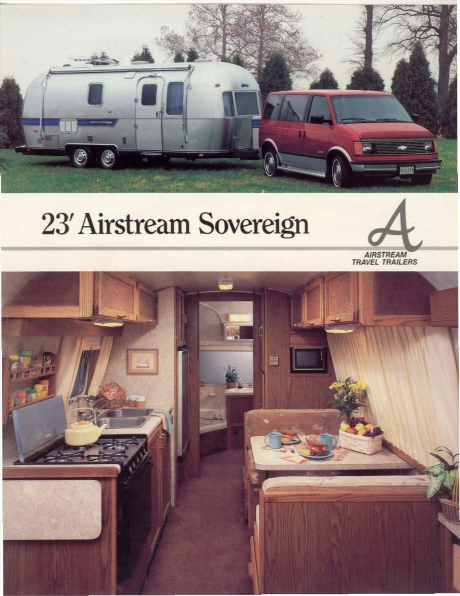

# 23' Airstream Sovereign



AIRSTREAM<br>TRAVEL TRAILERS